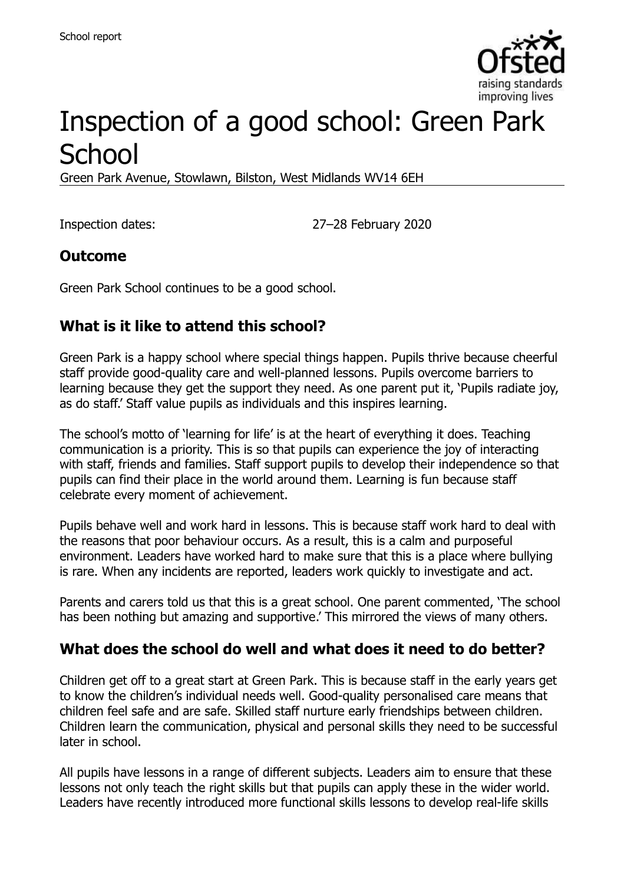

# Inspection of a good school: Green Park **School**

Green Park Avenue, Stowlawn, Bilston, West Midlands WV14 6EH

Inspection dates: 27–28 February 2020

#### **Outcome**

Green Park School continues to be a good school.

### **What is it like to attend this school?**

Green Park is a happy school where special things happen. Pupils thrive because cheerful staff provide good-quality care and well-planned lessons. Pupils overcome barriers to learning because they get the support they need. As one parent put it, 'Pupils radiate joy, as do staff.' Staff value pupils as individuals and this inspires learning.

The school's motto of 'learning for life' is at the heart of everything it does. Teaching communication is a priority. This is so that pupils can experience the joy of interacting with staff, friends and families. Staff support pupils to develop their independence so that pupils can find their place in the world around them. Learning is fun because staff celebrate every moment of achievement.

Pupils behave well and work hard in lessons. This is because staff work hard to deal with the reasons that poor behaviour occurs. As a result, this is a calm and purposeful environment. Leaders have worked hard to make sure that this is a place where bullying is rare. When any incidents are reported, leaders work quickly to investigate and act.

Parents and carers told us that this is a great school. One parent commented, 'The school has been nothing but amazing and supportive.' This mirrored the views of many others.

#### **What does the school do well and what does it need to do better?**

Children get off to a great start at Green Park. This is because staff in the early years get to know the children's individual needs well. Good-quality personalised care means that children feel safe and are safe. Skilled staff nurture early friendships between children. Children learn the communication, physical and personal skills they need to be successful later in school.

All pupils have lessons in a range of different subjects. Leaders aim to ensure that these lessons not only teach the right skills but that pupils can apply these in the wider world. Leaders have recently introduced more functional skills lessons to develop real-life skills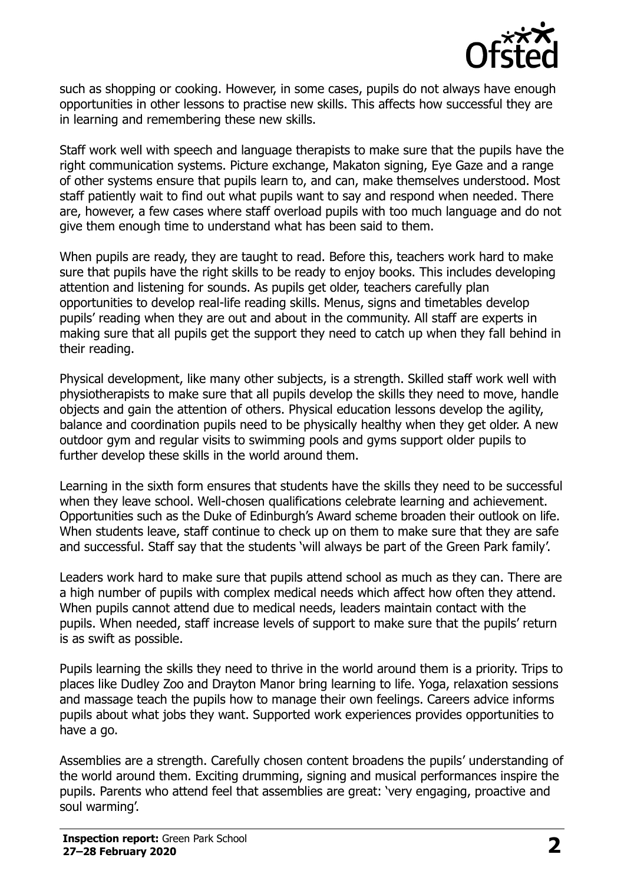

such as shopping or cooking. However, in some cases, pupils do not always have enough opportunities in other lessons to practise new skills. This affects how successful they are in learning and remembering these new skills.

Staff work well with speech and language therapists to make sure that the pupils have the right communication systems. Picture exchange, Makaton signing, Eye Gaze and a range of other systems ensure that pupils learn to, and can, make themselves understood. Most staff patiently wait to find out what pupils want to say and respond when needed. There are, however, a few cases where staff overload pupils with too much language and do not give them enough time to understand what has been said to them.

When pupils are ready, they are taught to read. Before this, teachers work hard to make sure that pupils have the right skills to be ready to enjoy books. This includes developing attention and listening for sounds. As pupils get older, teachers carefully plan opportunities to develop real-life reading skills. Menus, signs and timetables develop pupils' reading when they are out and about in the community. All staff are experts in making sure that all pupils get the support they need to catch up when they fall behind in their reading.

Physical development, like many other subjects, is a strength. Skilled staff work well with physiotherapists to make sure that all pupils develop the skills they need to move, handle objects and gain the attention of others. Physical education lessons develop the agility, balance and coordination pupils need to be physically healthy when they get older. A new outdoor gym and regular visits to swimming pools and gyms support older pupils to further develop these skills in the world around them.

Learning in the sixth form ensures that students have the skills they need to be successful when they leave school. Well-chosen qualifications celebrate learning and achievement. Opportunities such as the Duke of Edinburgh's Award scheme broaden their outlook on life. When students leave, staff continue to check up on them to make sure that they are safe and successful. Staff say that the students 'will always be part of the Green Park family'.

Leaders work hard to make sure that pupils attend school as much as they can. There are a high number of pupils with complex medical needs which affect how often they attend. When pupils cannot attend due to medical needs, leaders maintain contact with the pupils. When needed, staff increase levels of support to make sure that the pupils' return is as swift as possible.

Pupils learning the skills they need to thrive in the world around them is a priority. Trips to places like Dudley Zoo and Drayton Manor bring learning to life. Yoga, relaxation sessions and massage teach the pupils how to manage their own feelings. Careers advice informs pupils about what jobs they want. Supported work experiences provides opportunities to have a go.

Assemblies are a strength. Carefully chosen content broadens the pupils' understanding of the world around them. Exciting drumming, signing and musical performances inspire the pupils. Parents who attend feel that assemblies are great: 'very engaging, proactive and soul warming'.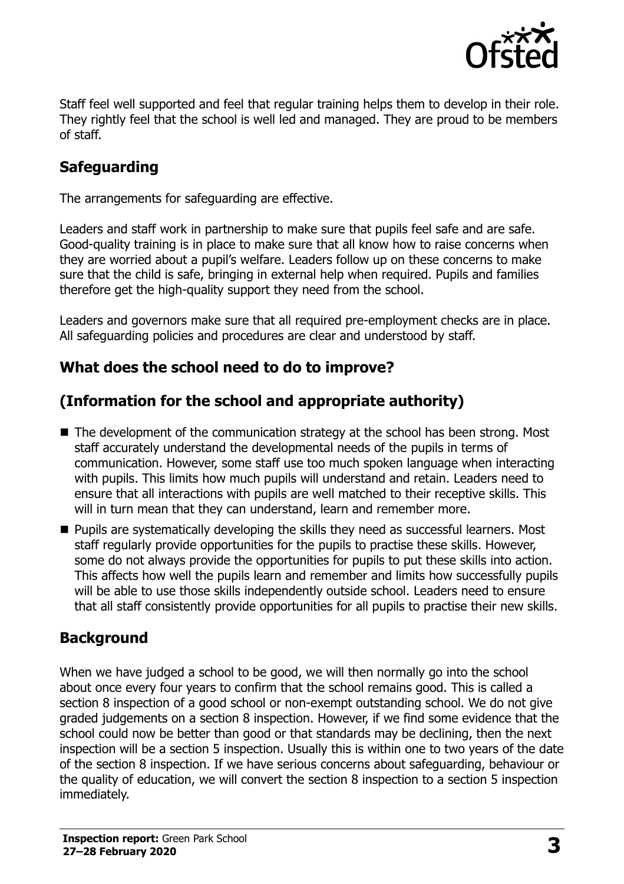

Staff feel well supported and feel that regular training helps them to develop in their role. They rightly feel that the school is well led and managed. They are proud to be members of staff.

## **Safeguarding**

The arrangements for safeguarding are effective.

Leaders and staff work in partnership to make sure that pupils feel safe and are safe. Good-quality training is in place to make sure that all know how to raise concerns when they are worried about a pupil's welfare. Leaders follow up on these concerns to make sure that the child is safe, bringing in external help when required. Pupils and families therefore get the high-quality support they need from the school.

Leaders and governors make sure that all required pre-employment checks are in place. All safeguarding policies and procedures are clear and understood by staff.

### **What does the school need to do to improve?**

# **(Information for the school and appropriate authority)**

- The development of the communication strategy at the school has been strong. Most staff accurately understand the developmental needs of the pupils in terms of communication. However, some staff use too much spoken language when interacting with pupils. This limits how much pupils will understand and retain. Leaders need to ensure that all interactions with pupils are well matched to their receptive skills. This will in turn mean that they can understand, learn and remember more.
- **Pupils are systematically developing the skills they need as successful learners. Most** staff regularly provide opportunities for the pupils to practise these skills. However, some do not always provide the opportunities for pupils to put these skills into action. This affects how well the pupils learn and remember and limits how successfully pupils will be able to use those skills independently outside school. Leaders need to ensure that all staff consistently provide opportunities for all pupils to practise their new skills.

### **Background**

When we have judged a school to be good, we will then normally go into the school about once every four years to confirm that the school remains good. This is called a section 8 inspection of a good school or non-exempt outstanding school. We do not give graded judgements on a section 8 inspection. However, if we find some evidence that the school could now be better than good or that standards may be declining, then the next inspection will be a section 5 inspection. Usually this is within one to two years of the date of the section 8 inspection. If we have serious concerns about safeguarding, behaviour or the quality of education, we will convert the section 8 inspection to a section 5 inspection immediately.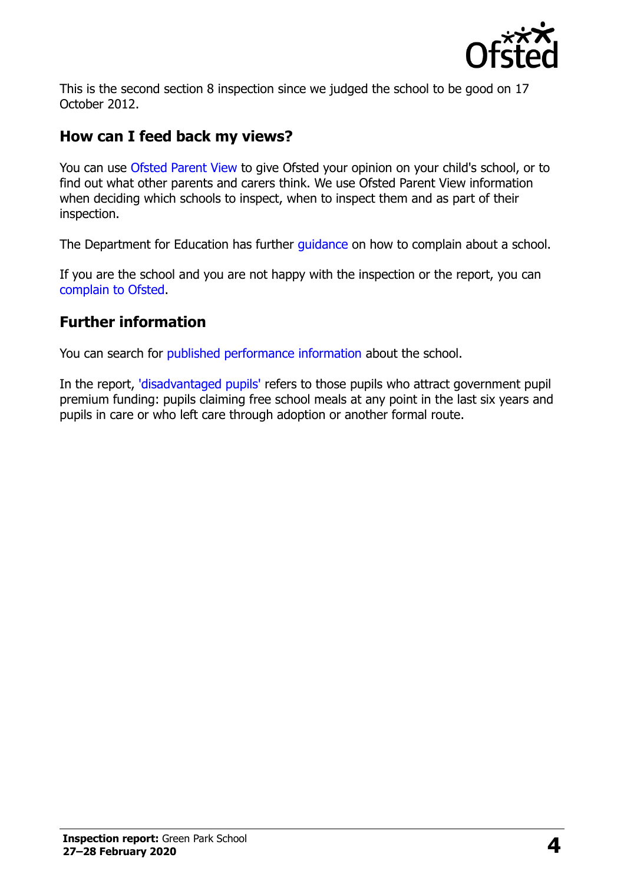

This is the second section 8 inspection since we judged the school to be good on 17 October 2012.

#### **How can I feed back my views?**

You can use [Ofsted Parent View](https://parentview.ofsted.gov.uk/) to give Ofsted your opinion on your child's school, or to find out what other parents and carers think. We use Ofsted Parent View information when deciding which schools to inspect, when to inspect them and as part of their inspection.

The Department for Education has further quidance on how to complain about a school.

If you are the school and you are not happy with the inspection or the report, you can [complain to Ofsted.](https://www.gov.uk/complain-ofsted-report)

#### **Further information**

You can search for [published performance information](http://www.compare-school-performance.service.gov.uk/) about the school.

In the report, ['disadvantaged pupils'](http://www.gov.uk/guidance/pupil-premium-information-for-schools-and-alternative-provision-settings) refers to those pupils who attract government pupil premium funding: pupils claiming free school meals at any point in the last six years and pupils in care or who left care through adoption or another formal route.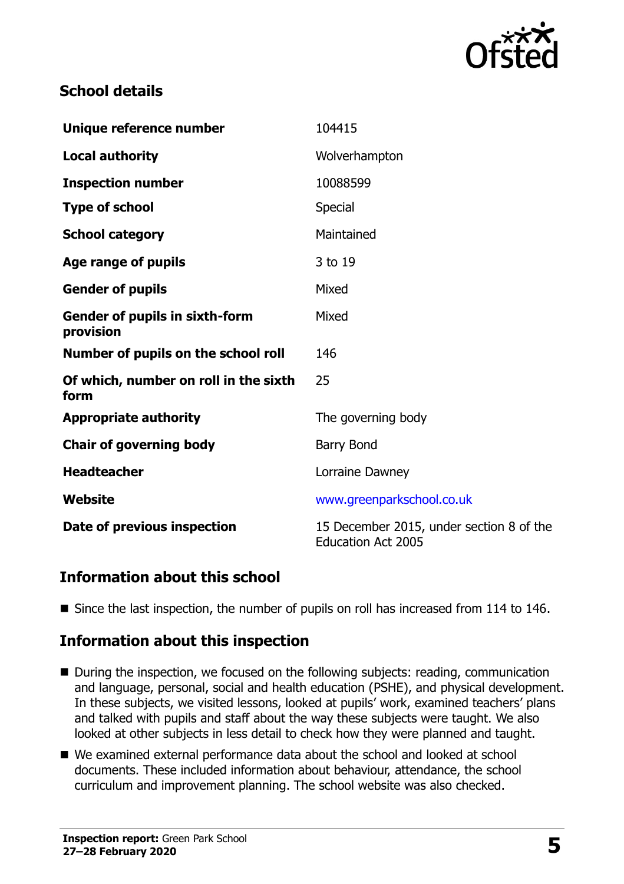

#### **School details**

| Unique reference number                            | 104415                                                                |
|----------------------------------------------------|-----------------------------------------------------------------------|
| <b>Local authority</b>                             | Wolverhampton                                                         |
| <b>Inspection number</b>                           | 10088599                                                              |
| <b>Type of school</b>                              | <b>Special</b>                                                        |
| <b>School category</b>                             | Maintained                                                            |
| Age range of pupils                                | 3 to 19                                                               |
| <b>Gender of pupils</b>                            | Mixed                                                                 |
| <b>Gender of pupils in sixth-form</b><br>provision | Mixed                                                                 |
| Number of pupils on the school roll                | 146                                                                   |
| Of which, number on roll in the sixth<br>form      | 25                                                                    |
| <b>Appropriate authority</b>                       | The governing body                                                    |
| <b>Chair of governing body</b>                     | Barry Bond                                                            |
| <b>Headteacher</b>                                 | Lorraine Dawney                                                       |
| Website                                            | www.greenparkschool.co.uk                                             |
| Date of previous inspection                        | 15 December 2015, under section 8 of the<br><b>Education Act 2005</b> |

#### **Information about this school**

Since the last inspection, the number of pupils on roll has increased from 114 to 146.

### **Information about this inspection**

- During the inspection, we focused on the following subjects: reading, communication and language, personal, social and health education (PSHE), and physical development. In these subjects, we visited lessons, looked at pupils' work, examined teachers' plans and talked with pupils and staff about the way these subjects were taught. We also looked at other subjects in less detail to check how they were planned and taught.
- We examined external performance data about the school and looked at school documents. These included information about behaviour, attendance, the school curriculum and improvement planning. The school website was also checked.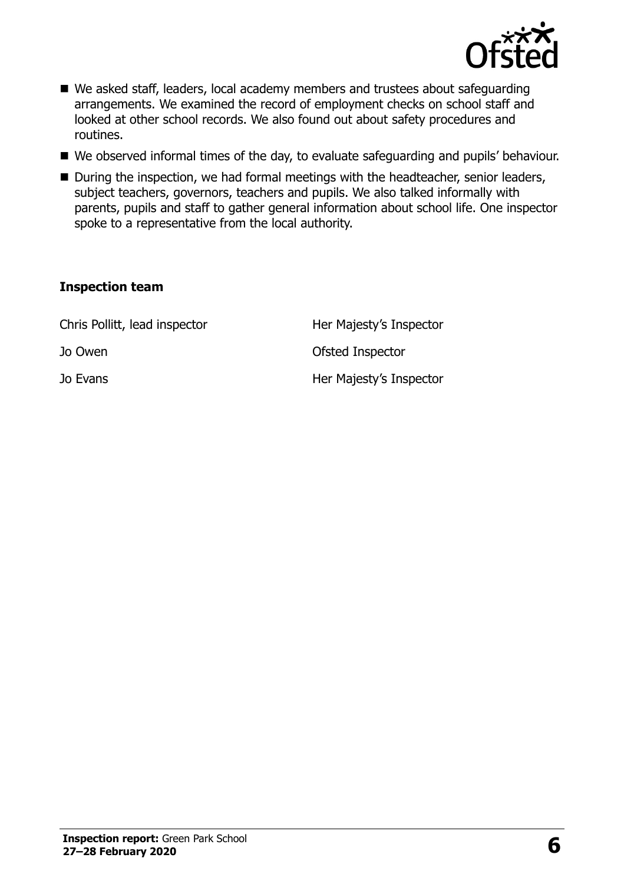

- We asked staff, leaders, local academy members and trustees about safeguarding arrangements. We examined the record of employment checks on school staff and looked at other school records. We also found out about safety procedures and routines.
- We observed informal times of the day, to evaluate safeguarding and pupils' behaviour.
- During the inspection, we had formal meetings with the headteacher, senior leaders, subject teachers, governors, teachers and pupils. We also talked informally with parents, pupils and staff to gather general information about school life. One inspector spoke to a representative from the local authority.

#### **Inspection team**

| Chris Pollitt, lead inspector | Her Majesty's Inspector |
|-------------------------------|-------------------------|
| Jo Owen                       | Ofsted Inspector        |
| Jo Evans                      | Her Majesty's Inspector |